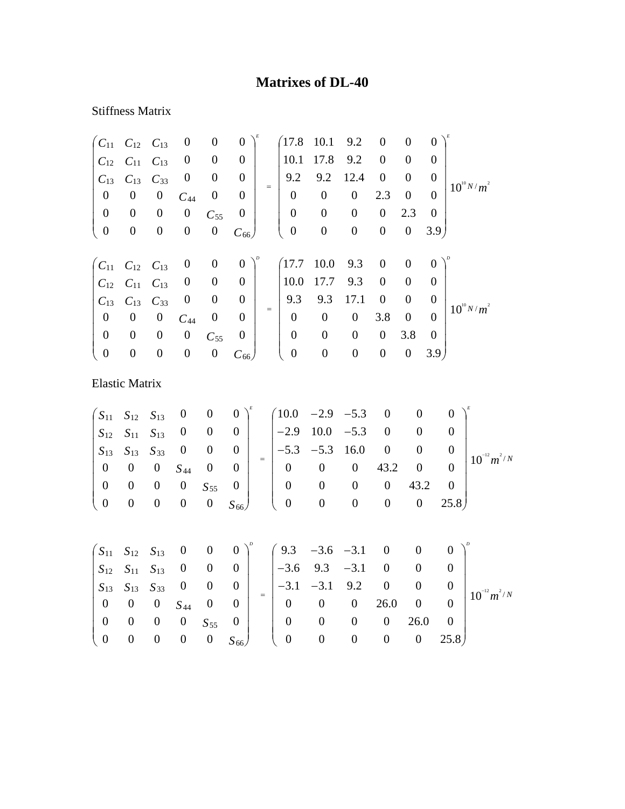## **Matrixes of DL-40**

## Stiffness Matrix

|                    | $C_{11}$ $C_{12}$ $C_{13}$ |                  | $\boldsymbol{0}$ | $\boldsymbol{0}$ | $\boldsymbol{0}$ |     | (17.8)           | 10.1             | 9.2              | $\boldsymbol{0}$ | $\boldsymbol{0}$ | $\overline{0}$   |                 |
|--------------------|----------------------------|------------------|------------------|------------------|------------------|-----|------------------|------------------|------------------|------------------|------------------|------------------|-----------------|
| $C_{12}$           | $C_{11}$                   | $C_{13}$         | $\boldsymbol{0}$ | $\boldsymbol{0}$ | $\boldsymbol{0}$ |     | 10.1             | 17.8             | 9.2              | $\overline{0}$   | $\overline{0}$   | $\theta$         |                 |
| $C_{13}$           | $C_{13}$                   | $C_{33}$         | $\boldsymbol{0}$ | $\boldsymbol{0}$ | $\boldsymbol{0}$ | $=$ | 9.2              | 9.2              | 12.4             | $\mathbf{0}$     | $\overline{0}$   | $\boldsymbol{0}$ | $10^{10} N/m^2$ |
| $\boldsymbol{0}$   | $\boldsymbol{0}$           | $\boldsymbol{0}$ | $C_{44}$         | $\boldsymbol{0}$ | $\boldsymbol{0}$ |     | $\boldsymbol{0}$ | $\boldsymbol{0}$ | $\boldsymbol{0}$ | 2.3              | $\boldsymbol{0}$ | $\theta$         |                 |
| $\boldsymbol{0}$   | $\boldsymbol{0}$           | $\boldsymbol{0}$ | $\boldsymbol{0}$ | $C_{55}$         | $\boldsymbol{0}$ |     | $\boldsymbol{0}$ | $\boldsymbol{0}$ | $\boldsymbol{0}$ | $\boldsymbol{0}$ | 2.3              | $\theta$         |                 |
| $\boldsymbol{0}$   | $\boldsymbol{0}$           | $\boldsymbol{0}$ | $\boldsymbol{0}$ | $\boldsymbol{0}$ | $C_{66}$         |     | $\boldsymbol{0}$ | $\boldsymbol{0}$ | $\boldsymbol{0}$ | $\boldsymbol{0}$ | $\boldsymbol{0}$ | 3.9 <sub>l</sub> |                 |
|                    |                            |                  |                  |                  |                  |     |                  |                  |                  |                  |                  |                  |                 |
| $\mathcal{C}_{11}$ | $C_{12}$                   | $C_{13}$         | $\boldsymbol{0}$ | $\mathbf{0}$     | $\boldsymbol{0}$ |     | (17.7)           | 10.0             | 9.3              | $\boldsymbol{0}$ | $\overline{0}$   | $\overline{0}$   |                 |
| $C_{12}$           | $C_{11}$                   | $C_{13}$         | $\boldsymbol{0}$ | $\boldsymbol{0}$ | $\boldsymbol{0}$ |     | 10.0             | 17.7             | 9.3              | $\boldsymbol{0}$ | $\overline{0}$   | 0                |                 |
| $C_{13}$           | $C_{13}$                   | $C_{33}$         | $\boldsymbol{0}$ | $\boldsymbol{0}$ | $\boldsymbol{0}$ | $=$ | 9.3              | 9.3              | 17.1             | $\boldsymbol{0}$ | $\overline{0}$   | $\boldsymbol{0}$ | $10^{10} N/m^2$ |
| $\boldsymbol{0}$   | $\boldsymbol{0}$           | $\boldsymbol{0}$ | $C_{44}$         | $\boldsymbol{0}$ | $\boldsymbol{0}$ |     | $\boldsymbol{0}$ | $\boldsymbol{0}$ | $\boldsymbol{0}$ | 3.8              | $\boldsymbol{0}$ | $\Omega$         |                 |
| $\boldsymbol{0}$   | $\boldsymbol{0}$           | $\overline{0}$   | $\boldsymbol{0}$ | $C_{55}$         | $\boldsymbol{0}$ |     | $\overline{0}$   | $\mathbf{0}$     | $\boldsymbol{0}$ | $\boldsymbol{0}$ | 3.8              | $\overline{0}$   |                 |
| $\boldsymbol{0}$   | $\boldsymbol{0}$           | $\boldsymbol{0}$ | $\boldsymbol{0}$ | $\boldsymbol{0}$ | $C_{66}$         |     | $\boldsymbol{0}$ | $\boldsymbol{0}$ | $\boldsymbol{0}$ | $\boldsymbol{0}$ | $\boldsymbol{0}$ | 3.9 <sub>l</sub> |                 |
|                    | <b>Elastic Matrix</b>      |                  |                  |                  |                  |     |                  |                  |                  |                  |                  |                  |                 |

|  |  |  |  | $\begin{pmatrix} S_{11} & S_{12} & S_{13} & 0 & 0 & 0 \end{pmatrix}^k$ $\begin{pmatrix} 10.0 & -2.9 & -5.3 & 0 & 0 & 0 \end{pmatrix}^k$                                   |  |  |                                                                                                                                                                                                                                                                                                                  |
|--|--|--|--|---------------------------------------------------------------------------------------------------------------------------------------------------------------------------|--|--|------------------------------------------------------------------------------------------------------------------------------------------------------------------------------------------------------------------------------------------------------------------------------------------------------------------|
|  |  |  |  | $S_{12}$ $S_{11}$ $S_{13}$ 0 0 0 $\vert$ $\vert$ -2.9 10.0 -5.3 0 0 0 $\vert$                                                                                             |  |  |                                                                                                                                                                                                                                                                                                                  |
|  |  |  |  |                                                                                                                                                                           |  |  | $\begin{vmatrix} 512 & 511 & 13 \\ S_{13} & S_{13} & S_{33} \end{vmatrix}$ 0 0 0 $\begin{vmatrix} 0 & 0 \\ 0 & 0 \end{vmatrix}$ = $\begin{vmatrix} -5.3 & -5.3 & 16.0 & 0 \\ 0 & 0 & 0 \\ 0 & 0 & 0 \end{vmatrix}$ = $\begin{vmatrix} 0 & 0 & 0 \\ 10^{-12} m^2 / N & 0 \\ 0 & 0 & 0 \\ 0 & 0 & 0 \end{vmatrix}$ |
|  |  |  |  |                                                                                                                                                                           |  |  |                                                                                                                                                                                                                                                                                                                  |
|  |  |  |  | $\begin{bmatrix} 0 & 0 & 0 & 0 & S_{55} & 0 \\ 0 & 0 & 0 & 0 & 0 & S_{66} \end{bmatrix}$ $\begin{bmatrix} 0 & 0 & 0 & 0 & 43.2 & 0 \\ 0 & 0 & 0 & 0 & 25.8 \end{bmatrix}$ |  |  |                                                                                                                                                                                                                                                                                                                  |
|  |  |  |  |                                                                                                                                                                           |  |  |                                                                                                                                                                                                                                                                                                                  |
|  |  |  |  |                                                                                                                                                                           |  |  |                                                                                                                                                                                                                                                                                                                  |
|  |  |  |  |                                                                                                                                                                           |  |  |                                                                                                                                                                                                                                                                                                                  |

|                                                                                               |  |  |  | $\begin{pmatrix} S_{11} & S_{12} & S_{13} & 0 & 0 & 0 \end{pmatrix}^p$ $\begin{pmatrix} 9.3 & -3.6 & -3.1 & 0 & 0 & 0 \end{pmatrix}^p$                                                     |                |                |                  |
|-----------------------------------------------------------------------------------------------|--|--|--|--------------------------------------------------------------------------------------------------------------------------------------------------------------------------------------------|----------------|----------------|------------------|
|                                                                                               |  |  |  | $\begin{array}{ c c c c c c c c c } \hline S_{12} & S_{11} & S_{13} & 0 & 0 & 0 & -3.6 & 9.3 & -3.1 & 0 & 0 \ \hline \end{array}$                                                          |                |                |                  |
|                                                                                               |  |  |  |                                                                                                                                                                                            |                |                | $10^{-12} m^2/N$ |
|                                                                                               |  |  |  | $\begin{vmatrix} S_{13} & S_{13} & S_{33} & 0 & 0 & 0 \ 0 & 0 & 0 & S_{44} & 0 & 0 \end{vmatrix} = \begin{vmatrix} -3.1 & -3.1 & 9.2 & 0 & 0 & 0 \ 0 & 0 & 0 & 26.0 & 0 & 0 \end{vmatrix}$ |                |                |                  |
| $\begin{array}{ ccc c c c c c c c } \hline 0 & 0 & 0 & 0 & S_{55} & 0 & \ \hline \end{array}$ |  |  |  | $0\qquad 0$                                                                                                                                                                                | $\overline{0}$ | $26.0\qquad 0$ |                  |
| $\begin{pmatrix} 0 & 0 & 0 & 0 \\ 0 & 0 & 0 & 0 \end{pmatrix}$                                |  |  |  | $\begin{array}{ccccccccc} 0 & S_{66} & 0 & 0 & 0 & 0 & 0 & 25.8 \end{array}$                                                                                                               |                |                |                  |